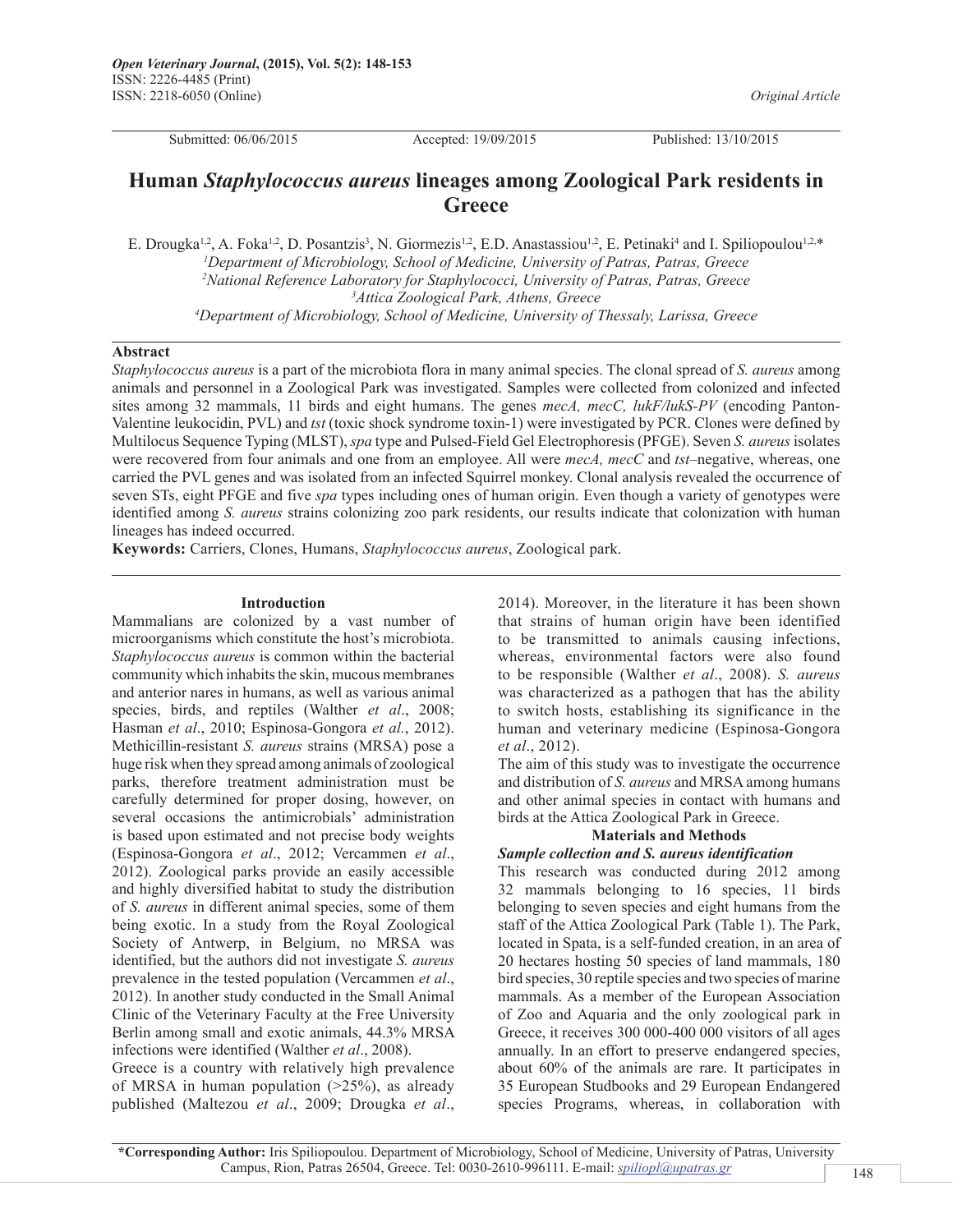*Original Article*

Submitted: 06/06/2015 Accepted: 19/09/2015 Published: 13/10/2015

# **Human** *Staphylococcus aureus* **lineages among Zoological Park residents in Greece**

E. Drougka<sup>1,2</sup>, A. Foka<sup>1,2</sup>, D. Posantzis<sup>3</sup>, N. Giormezis<sup>1,2</sup>, E.D. Anastassiou<sup>1,2</sup>, E. Petinaki<sup>4</sup> and I. Spiliopoulou<sup>1,2,\*</sup> *Department of Microbiology, School of Medicine, University of Patras, Patras, Greece National Reference Laboratory for Staphylococci, University of Patras, Patras, Greece Attica Zoological Park, Athens, Greece Department of Microbiology, School of Medicine, University of Thessaly, Larissa, Greece*

## **Abstract**

*Staphylococcus aureus* is a part of the microbiota flora in many animal species. The clonal spread of *S. aureus* among animals and personnel in a Zoological Park was investigated. Samples were collected from colonized and infected sites among 32 mammals, 11 birds and eight humans. The genes *mecA, mecC, lukF/lukS-PV* (encoding Panton-Valentine leukocidin, PVL) and *tst* (toxic shock syndrome toxin-1) were investigated by PCR. Clones were defined by Multilocus Sequence Typing (MLST), *spa* type and Pulsed-Field Gel Electrophoresis (PFGE). Seven *S. aureus* isolates were recovered from four animals and one from an employee. All were *mecA, mecC* and *tst*–negative, whereas, one carried the PVL genes and was isolated from an infected Squirrel monkey. Clonal analysis revealed the occurrence of seven STs, eight PFGE and five *spa* types including ones of human origin. Even though a variety of genotypes were identified among *S. aureus* strains colonizing zoo park residents, our results indicate that colonization with human lineages has indeed occurred.

**Keywords:** Carriers, Clones, Humans, *Staphylococcus aureus*, Zoological park.

#### **Introduction**

Mammalians are colonized by a vast number of microorganisms which constitute the host's microbiota. *Staphylococcus aureus* is common within the bacterial community which inhabits the skin, mucous membranes and anterior nares in humans, as well as various animal species, birds, and reptiles (Walther *et al*., 2008; Hasman *et al*., 2010; Espinosa-Gongora *et al.*, 2012). Methicillin-resistant *S. aureus* strains (MRSA) pose a huge risk when they spread among animals of zoological parks, therefore treatment administration must be carefully determined for proper dosing, however, on several occasions the antimicrobials' administration is based upon estimated and not precise body weights (Espinosa-Gongora *et al*., 2012; Vercammen *et al*., 2012). Zoological parks provide an easily accessible and highly diversified habitat to study the distribution of *S. aureus* in different animal species, some of them being exotic. In a study from the Royal Zoological Society of Antwerp, in Belgium, no MRSA was identified, but the authors did not investigate *S. aureus*  prevalence in the tested population (Vercammen *et al*., 2012). In another study conducted in the Small Animal Clinic of the Veterinary Faculty at the Free University Berlin among small and exotic animals, 44.3% MRSA infections were identified (Walther *et al*., 2008).

Greece is a country with relatively high prevalence of MRSA in human population  $(>25\%)$ , as already published (Maltezou *et al*., 2009; Drougka *et al*.,

2014). Moreover, in the literature it has been shown that strains of human origin have been identified to be transmitted to animals causing infections, whereas, environmental factors were also found to be responsible (Walther *et al*., 2008). *S. aureus*  was characterized as a pathogen that has the ability to switch hosts, establishing its significance in the human and veterinary medicine (Espinosa-Gongora *et al*., 2012).

The aim of this study was to investigate the occurrence and distribution of *S. aureus* and MRSA among humans and other animal species in contact with humans and birds at the Attica Zoological Park in Greece.

# **Materials and Methods**

#### *Sample collection and S. aureus identification*

This research was conducted during 2012 among 32 mammals belonging to 16 species, 11 birds belonging to seven species and eight humans from the staff of the Attica Zoological Park (Table 1). The Park, located in Spata, is a self-funded creation, in an area of 20 hectares hosting 50 species of land mammals, 180 bird species, 30 reptile species and two species of marine mammals. As a member of the European Association of Zoo and Aquaria and the only zoological park in Greece, it receives 300 000-400 000 visitors of all ages annually. In an effort to preserve endangered species, about 60% of the animals are rare. It participates in 35 European Studbooks and 29 European Endangered species Programs, whereas, in collaboration with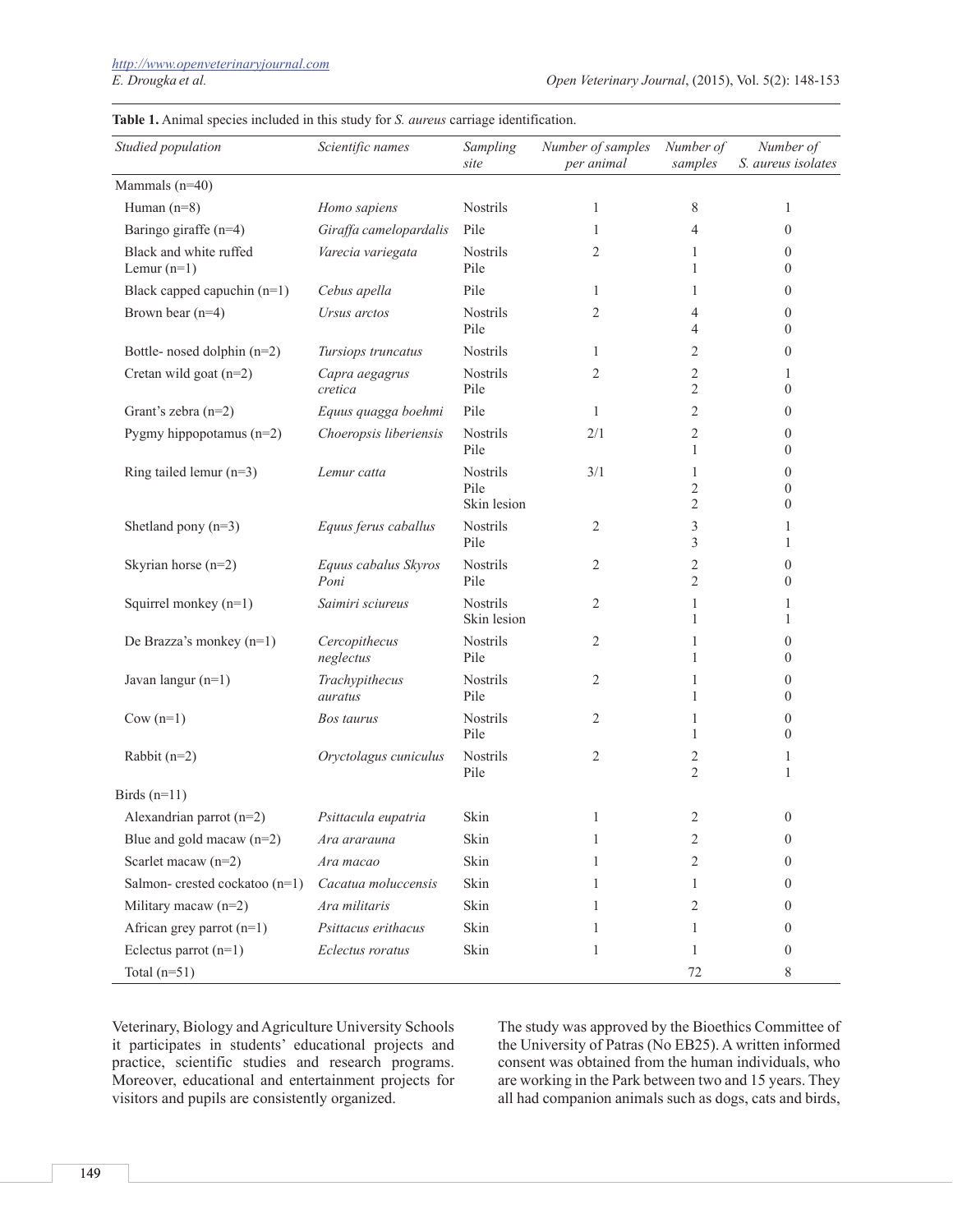| Studied population                      | Scientific names             | Sampling<br>site                       | Number of samples<br>per animal | Number of<br>samples                  | Number of<br>S. aureus isolates                      |
|-----------------------------------------|------------------------------|----------------------------------------|---------------------------------|---------------------------------------|------------------------------------------------------|
| Mammals (n=40)                          |                              |                                        |                                 |                                       |                                                      |
| Human $(n=8)$                           | Homo sapiens                 | Nostrils                               | 1                               | 8                                     | 1                                                    |
| Baringo giraffe (n=4)                   | Giraffa camelopardalis       | Pile                                   | 1                               | 4                                     | $\mathbf{0}$                                         |
| Black and white ruffed<br>Lemur $(n=1)$ | Varecia variegata            | Nostrils<br>Pile                       | $\overline{2}$                  | 1<br>1                                | $\mathbf{0}$<br>$\mathbf{0}$                         |
| Black capped capuchin $(n=1)$           | Cebus apella                 | Pile                                   | 1                               | 1                                     | $\mathbf{0}$                                         |
| Brown bear $(n=4)$                      | Ursus arctos                 | <b>Nostrils</b><br>Pile                | 2                               | 4<br>$\overline{4}$                   | $\mathbf{0}$<br>$\mathbf{0}$                         |
| Bottle- nosed dolphin (n=2)             | Tursiops truncatus           | <b>Nostrils</b>                        | 1                               | $\overline{2}$                        | $\mathbf{0}$                                         |
| Cretan wild goat (n=2)                  | Capra aegagrus<br>cretica    | Nostrils<br>Pile                       | 2                               | $\overline{2}$<br>$\overline{2}$      | 1<br>$\mathbf{0}$                                    |
| Grant's zebra (n=2)                     | Equus quagga boehmi          | Pile                                   | 1                               | $\overline{2}$                        | $\mathbf{0}$                                         |
| Pygmy hippopotamus $(n=2)$              | Choeropsis liberiensis       | Nostrils<br>Pile                       | 2/1                             | 2<br>$\mathbf{1}$                     | $\mathbf{0}$<br>$\mathbf{0}$                         |
| Ring tailed lemur $(n=3)$               | Lemur catta                  | <b>Nostrils</b><br>Pile<br>Skin lesion | 3/1                             | 1<br>$\mathfrak{2}$<br>$\mathfrak{2}$ | $\mathbf{0}$<br>$\boldsymbol{0}$<br>$\boldsymbol{0}$ |
| Shetland pony $(n=3)$                   | Equus ferus caballus         | <b>Nostrils</b><br>Pile                | 2                               | 3<br>3                                | 1<br>1                                               |
| Skyrian horse (n=2)                     | Equus cabalus Skyros<br>Poni | Nostrils<br>Pile                       | 2                               | $\overline{c}$<br>$\overline{2}$      | $\mathbf{0}$<br>$\mathbf{0}$                         |
| Squirrel monkey $(n=1)$                 | Saimiri sciureus             | Nostrils<br>Skin lesion                | $\overline{2}$                  | 1<br>1                                | 1<br>1                                               |
| De Brazza's monkey (n=1)                | Cercopithecus<br>neglectus   | Nostrils<br>Pile                       | 2                               | 1<br>1                                | $\mathbf{0}$<br>$\theta$                             |
| Javan langur (n=1)                      | Trachypithecus<br>auratus    | <b>Nostrils</b><br>Pile                | 2                               | 1<br>1                                | $\boldsymbol{0}$<br>$\mathbf{0}$                     |
| $Cow(n=1)$                              | Bos taurus                   | <b>Nostrils</b><br>Pile                | 2                               | 1<br>1                                | $\boldsymbol{0}$<br>$\mathbf{0}$                     |
| Rabbit $(n=2)$                          | Oryctolagus cuniculus        | Nostrils<br>Pile                       | $\overline{2}$                  | 2<br>$\mathfrak{2}$                   | 1<br>1                                               |
| Birds $(n=11)$                          |                              |                                        |                                 |                                       |                                                      |
| Alexandrian parrot $(n=2)$              | Psittacula eupatria          | Skin                                   |                                 | 2                                     | $\mathbf{0}$                                         |
| Blue and gold macaw $(n=2)$             | Ara ararauna                 | Skin                                   | 1                               | 2                                     | $\boldsymbol{0}$                                     |
| Scarlet macaw (n=2)                     | Ara macao                    | Skin                                   | 1                               | 2                                     | $\overline{0}$                                       |
| Salmon-crested cockatoo (n=1)           | Cacatua moluccensis          | Skin                                   | 1                               | 1                                     | $\overline{0}$                                       |
| Military macaw $(n=2)$                  | Ara militaris                | Skin                                   | 1                               | 2                                     | $\overline{0}$                                       |
| African grey parrot $(n=1)$             | Psittacus erithacus          | Skin                                   | 1                               | 1                                     | $\bf{0}$                                             |
| Eclectus parrot $(n=1)$                 | Eclectus roratus             | Skin                                   | 1                               | 1                                     | $\overline{0}$                                       |
| Total $(n=51)$                          |                              |                                        |                                 | 72                                    | 8                                                    |

**Table 1.** Animal species included in this study for *S. aureus* carriage identification.

Veterinary, Biology and Agriculture University Schools it participates in students' educational projects and practice, scientific studies and research programs. Moreover, educational and entertainment projects for visitors and pupils are consistently organized.

The study was approved by the Bioethics Committee of the University of Patras (No EB25). A written informed consent was obtained from the human individuals, who are working in the Park between two and 15 years. They all had companion animals such as dogs, cats and birds,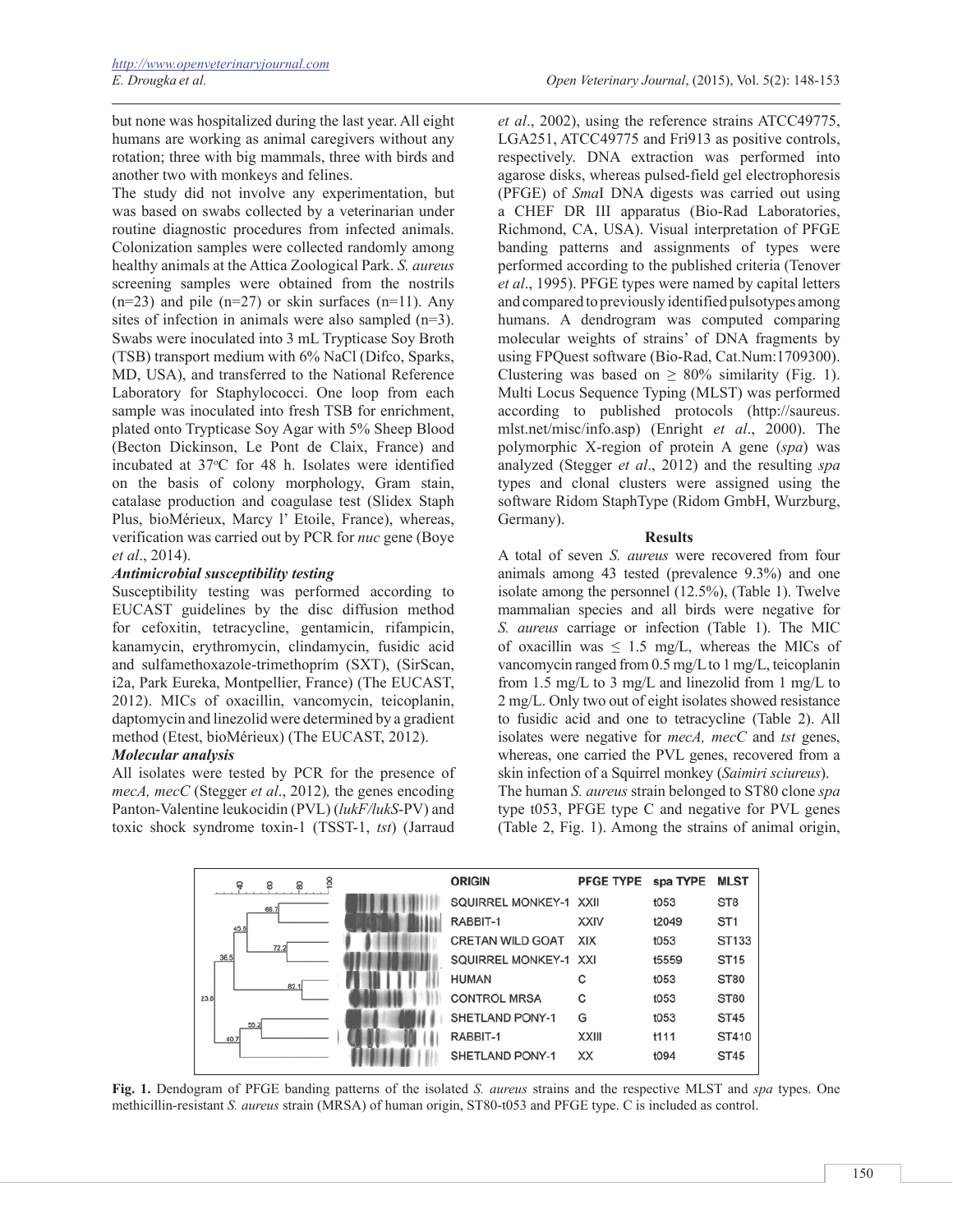but none was hospitalized during the last year. All eight humans are working as animal caregivers without any rotation; three with big mammals, three with birds and another two with monkeys and felines.

The study did not involve any experimentation, but was based on swabs collected by a veterinarian under routine diagnostic procedures from infected animals. Colonization samples were collected randomly among healthy animals at the Attica Zoological Park. *S. aureus* screening samples were obtained from the nostrils  $(n=23)$  and pile  $(n=27)$  or skin surfaces  $(n=11)$ . Any sites of infection in animals were also sampled (n=3). Swabs were inoculated into 3 mL Trypticase Soy Broth (TSB) transport medium with 6% NaCl (Difco, Sparks, MD, USA), and transferred to the National Reference Laboratory for Staphylococci. One loop from each sample was inoculated into fresh TSB for enrichment, plated onto Trypticase Soy Agar with 5% Sheep Blood (Becton Dickinson, Le Pont de Claix, France) and incubated at 37°C for 48 h. Isolates were identified on the basis of colony morphology, Gram stain, catalase production and coagulase test (Slidex Staph Plus, bioMérieux, Marcy l' Etoile, France), whereas, verification was carried out by PCR for *nuc* gene (Boye *et al*., 2014).

## *Antimicrobial susceptibility testing*

Susceptibility testing was performed according to EUCAST guidelines by the disc diffusion method for cefoxitin, tetracycline, gentamicin, rifampicin, kanamycin, erythromycin, clindamycin, fusidic acid and sulfamethoxazole-trimethoprim (SXT), (SirScan, i2a, Park Eureka, Montpellier, France) (The EUCAST, 2012). MICs of oxacillin, vancomycin, teicoplanin, daptomycin and linezolid were determined by a gradient method (Etest, bioMérieux) (The EUCAST, 2012).

## *Molecular analysis*

All isolates were tested by PCR for the presence of *mecA, mecC* (Stegger *et al*., 2012)*,* the genes encoding Panton-Valentine leukocidin (PVL) (*lukF/lukS*-PV) and toxic shock syndrome toxin-1 (TSST-1, *tst*) (Jarraud

*et al*., 2002), using the reference strains ATCC49775, LGA251, ATCC49775 and Fri913 as positive controls, respectively. DNA extraction was performed into agarose disks, whereas pulsed-field gel electrophoresis (PFGE) of *Sma*I DNA digests was carried out using a CHEF DR III apparatus (Bio-Rad Laboratories, Richmond, CA, USA). Visual interpretation of PFGE banding patterns and assignments of types were performed according to the published criteria (Tenover *et al*., 1995). PFGE types were named by capital letters and compared to previously identified pulsotypes among humans. A dendrogram was computed comparing molecular weights of strains' of DNA fragments by using FPQuest software (Bio-Rad, Cat.Num:1709300). Clustering was based on  $\geq 80\%$  similarity (Fig. 1). Multi Locus Sequence Typing (MLST) was performed according to published protocols (http://saureus. mlst.net/misc/info.asp) (Enright *et al*., 2000). The polymorphic X-region of protein A gene (*spa*) was analyzed (Stegger *et al*., 2012) and the resulting *spa* types and clonal clusters were assigned using the software Ridom StaphType (Ridom GmbH, Wurzburg, Germany).

#### **Results**

A total of seven *S. aureus* were recovered from four animals among 43 tested (prevalence 9.3%) and one isolate among the personnel (12.5%), (Table 1). Twelve mammalian species and all birds were negative for *S. aureus* carriage or infection (Table 1). The MIC of oxacillin was  $\leq 1.5$  mg/L, whereas the MICs of vancomycin ranged from 0.5 mg/L to 1 mg/L, teicoplanin from 1.5 mg/L to 3 mg/L and linezolid from 1 mg/L to 2 mg/L. Only two out of eight isolates showed resistance to fusidic acid and one to tetracycline (Table 2). All isolates were negative for *mecA, mecC* and *tst* genes, whereas, one carried the PVL genes, recovered from a skin infection of a Squirrel monkey (*Saimiri sciureus*). The human *S. aureus* strain belonged to ST80 clone *spa* type t053, PFGE type C and negative for PVL genes (Table 2, Fig. 1). Among the strains of animal origin,



**Fig. 1.** Dendogram of PFGE banding patterns of the isolated *S. aureus* strains and the respective MLST and *spa* types. One methicillin-resistant *S. aureus* strain (MRSA) of human origin, ST80-t053 and PFGE type. C is included as control.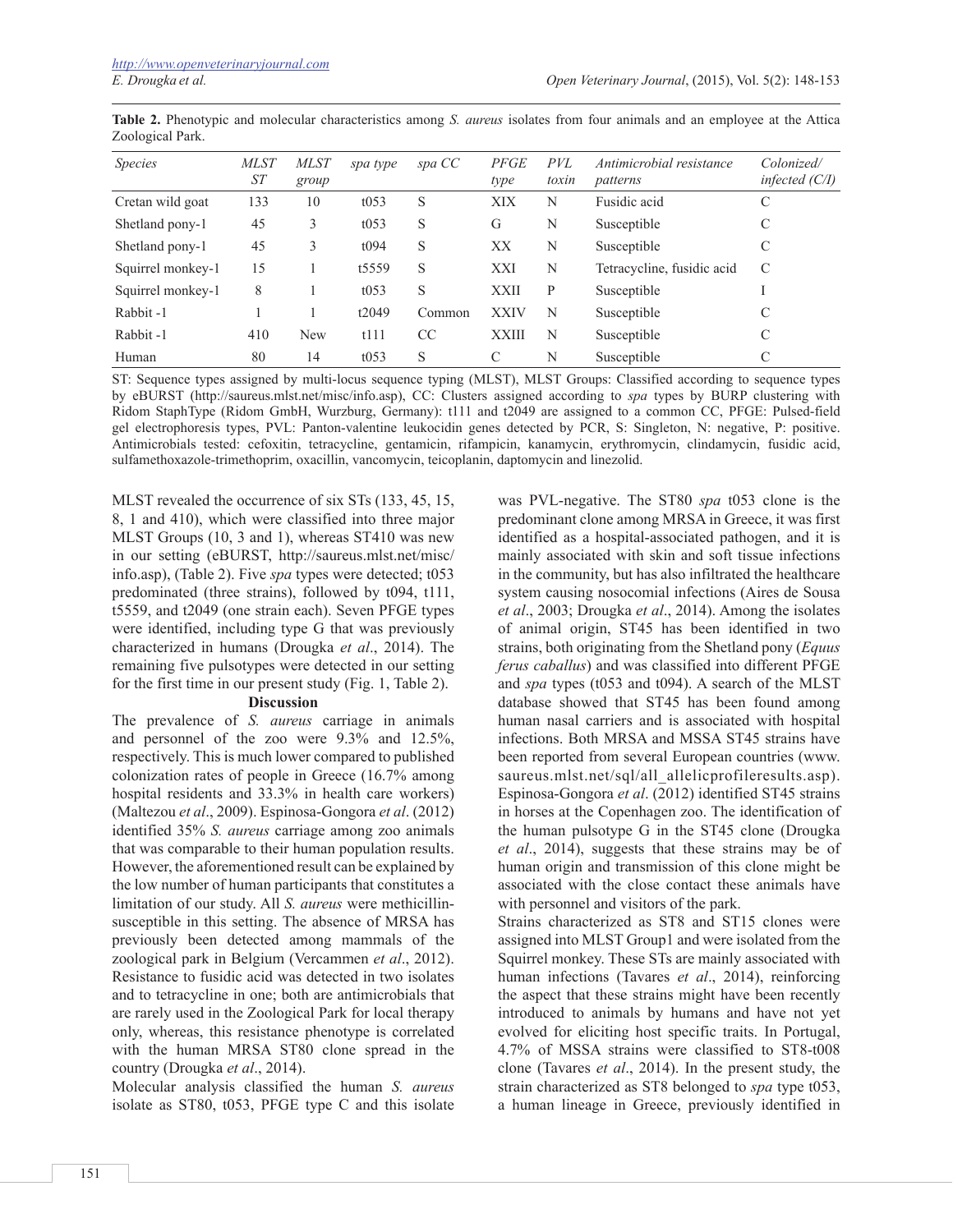| <i>Species</i>    | <b>MLST</b><br>ST | <i>MLST</i><br>group | spa type | spa CC    | <b>PFGE</b><br>type | <i>PVL</i><br>toxin | Antimicrobial resistance<br>patterns | Colonized/<br>infected $(C/I)$ |
|-------------------|-------------------|----------------------|----------|-----------|---------------------|---------------------|--------------------------------------|--------------------------------|
| Cretan wild goat  | 133               | 10                   | t053     | S         | XIX                 | N                   | Fusidic acid                         | C                              |
| Shetland pony-1   | 45                | 3                    | t053     | S         | G                   | N                   | Susceptible                          | C                              |
| Shetland pony-1   | 45                | 3                    | t094     | S         | XX                  | N                   | Susceptible                          | C                              |
| Squirrel monkey-1 | 15                |                      | t5559    | S         | XXI                 | N                   | Tetracycline, fusidic acid           | C                              |
| Squirrel monkey-1 | 8                 |                      | t053     | S         | <b>XXII</b>         | P                   | Susceptible                          |                                |
| Rabbit-1          |                   |                      | t2049    | Common    | <b>XXIV</b>         | N                   | Susceptible                          | C                              |
| Rabbit-1          | 410               | <b>New</b>           | t111     | <b>CC</b> | <b>XXIII</b>        | N                   | Susceptible                          | C                              |
| Human             | 80                | 14                   | t053     | S         | C                   | N                   | Susceptible                          | C                              |

**Table 2.** Phenotypic and molecular characteristics among *S. aureus* isolates from four animals and an employee at the Attica Zoological Park.

ST: Sequence types assigned by multi-locus sequence typing (MLST), MLST Groups: Classified according to sequence types by eBURST (http://saureus.mlst.net/misc/info.asp), CC: Clusters assigned according to *spa* types by BURP clustering with Ridom StaphType (Ridom GmbH, Wurzburg, Germany): t111 and t2049 are assigned to a common CC, PFGE: Pulsed-field gel electrophoresis types, PVL: Panton-valentine leukocidin genes detected by PCR, S: Singleton, N: negative, P: positive. Antimicrobials tested: cefoxitin, tetracycline, gentamicin, rifampicin, kanamycin, erythromycin, clindamycin, fusidic acid, sulfamethoxazole-trimethoprim, oxacillin, vancomycin, teicoplanin, daptomycin and linezolid.

MLST revealed the occurrence of six STs (133, 45, 15, 8, 1 and 410), which were classified into three major MLST Groups (10, 3 and 1), whereas ST410 was new in our setting (eBURST, http://saureus.mlst.net/misc/ info.asp), (Table 2). Five *spa* types were detected; t053 predominated (three strains), followed by t094, t111, t5559, and t2049 (one strain each). Seven PFGE types were identified, including type G that was previously characterized in humans (Drougka *et al*., 2014). The remaining five pulsotypes were detected in our setting for the first time in our present study (Fig. 1, Table 2).

#### **Discussion**

The prevalence of *S. aureus* carriage in animals and personnel of the zoo were 9.3% and 12.5%, respectively. This is much lower compared to published colonization rates of people in Greece (16.7% among hospital residents and 33.3% in health care workers) (Maltezou *et al*., 2009). Espinosa-Gongora *et al*. (2012) identified 35% *S. aureus* carriage among zoo animals that was comparable to their human population results. However, the aforementioned result can be explained by the low number of human participants that constitutes a limitation of our study. All *S. aureus* were methicillinsusceptible in this setting. The absence of MRSA has previously been detected among mammals of the zoological park in Belgium (Vercammen *et al*., 2012). Resistance to fusidic acid was detected in two isolates and to tetracycline in one; both are antimicrobials that are rarely used in the Zoological Park for local therapy only, whereas, this resistance phenotype is correlated with the human MRSA ST80 clone spread in the country (Drougka *et al*., 2014).

Molecular analysis classified the human *S. aureus* isolate as ST80, t053, PFGE type C and this isolate

was PVL-negative. The ST80 *spa* t053 clone is the predominant clone among MRSA in Greece, it was first identified as a hospital-associated pathogen, and it is mainly associated with skin and soft tissue infections in the community, but has also infiltrated the healthcare system causing nosocomial infections (Aires de Sousa *et al*., 2003; Drougka *et al*., 2014). Among the isolates of animal origin, ST45 has been identified in two strains, both originating from the Shetland pony (*Equus ferus caballus*) and was classified into different PFGE and *spa* types (t053 and t094). A search of the MLST database showed that ST45 has been found among human nasal carriers and is associated with hospital infections. Both MRSA and MSSA ST45 strains have been reported from several European countries (www. saureus.mlst.net/sql/all\_allelicprofileresults.asp). Espinosa-Gongora *et al*. (2012) identified ST45 strains in horses at the Copenhagen zoo. The identification of the human pulsotype G in the ST45 clone (Drougka *et al*., 2014), suggests that these strains may be of human origin and transmission of this clone might be associated with the close contact these animals have with personnel and visitors of the park.

Strains characterized as ST8 and ST15 clones were assigned into MLST Group1 and were isolated from the Squirrel monkey. These STs are mainly associated with human infections (Tavares *et al*., 2014), reinforcing the aspect that these strains might have been recently introduced to animals by humans and have not yet evolved for eliciting host specific traits. In Portugal, 4.7% of MSSA strains were classified to ST8-t008 clone (Tavares *et al*., 2014). In the present study, the strain characterized as ST8 belonged to *spa* type t053, a human lineage in Greece, previously identified in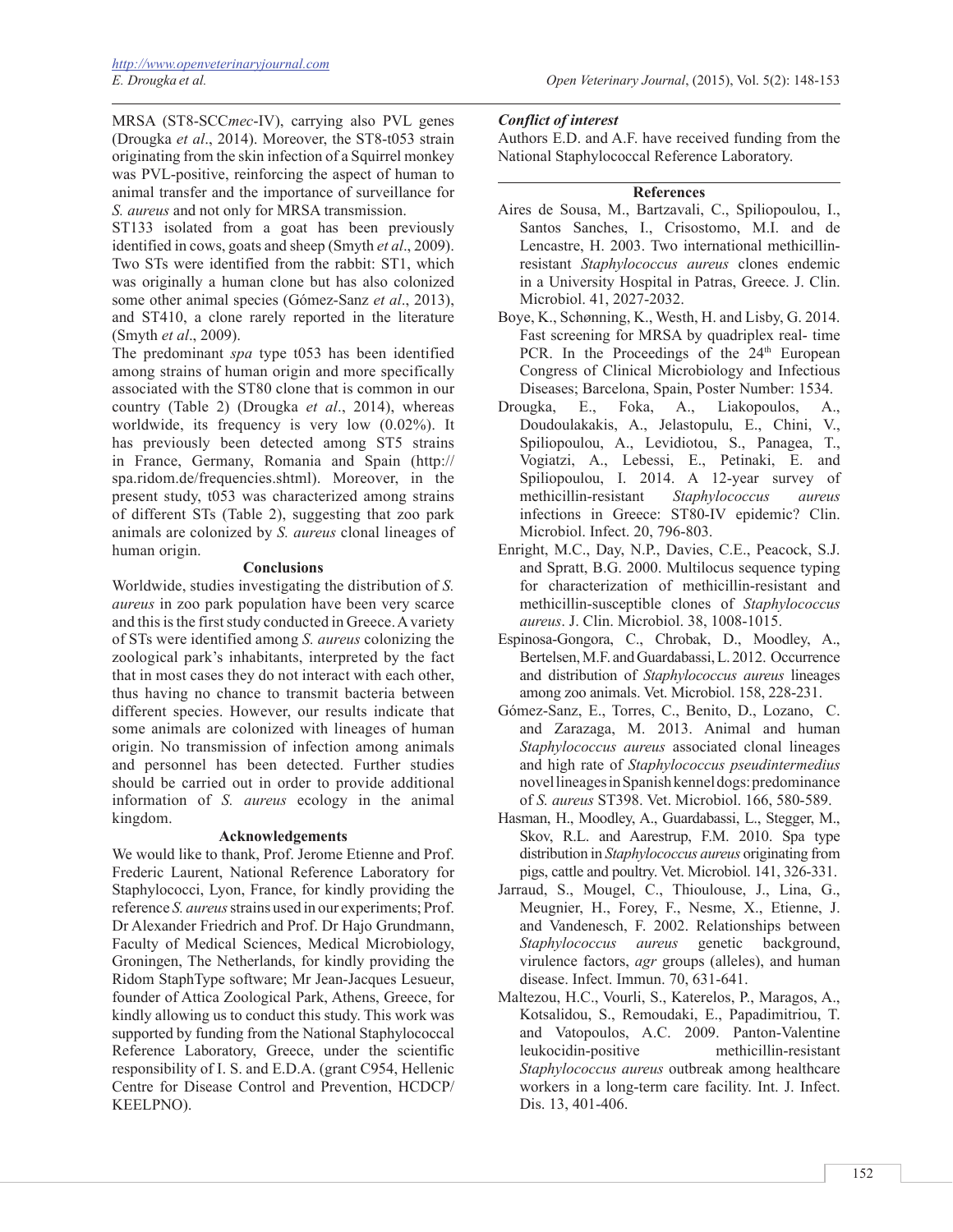MRSA (ST8-SCC*mec*-IV), carrying also PVL genes (Drougka *et al*., 2014). Moreover, the ST8-t053 strain originating from the skin infection of a Squirrel monkey was PVL-positive, reinforcing the aspect of human to animal transfer and the importance of surveillance for *S. aureus* and not only for MRSA transmission.

ST133 isolated from a goat has been previously identified in cows, goats and sheep (Smyth *et al*., 2009). Two STs were identified from the rabbit: ST1, which was originally a human clone but has also colonized some other animal species (Gómez-Sanz *et al*., 2013), and ST410, a clone rarely reported in the literature (Smyth *et al*., 2009).

The predominant *spa* type t053 has been identified among strains of human origin and more specifically associated with the ST80 clone that is common in our country (Table 2) (Drougka *et al*., 2014), whereas worldwide, its frequency is very low (0.02%). It has previously been detected among ST5 strains in France, Germany, Romania and Spain (http:// spa.ridom.de/frequencies.shtml). Moreover, in the present study, t053 was characterized among strains of different STs (Table 2), suggesting that zoo park animals are colonized by *S. aureus* clonal lineages of human origin.

## **Conclusions**

Worldwide, studies investigating the distribution of *S. aureus* in zoo park population have been very scarce and this is the first study conducted in Greece. A variety of STs were identified among *S. aureus* colonizing the zoological park's inhabitants, interpreted by the fact that in most cases they do not interact with each other, thus having no chance to transmit bacteria between different species. However, our results indicate that some animals are colonized with lineages of human origin. No transmission of infection among animals and personnel has been detected. Further studies should be carried out in order to provide additional information of *S. aureus* ecology in the animal kingdom.

#### **Acknowledgements**

We would like to thank, Prof. Jerome Etienne and Prof. Frederic Laurent, National Reference Laboratory for Staphylococci, Lyon, France, for kindly providing the reference *S. aureus* strains used in our experiments; Prof. Dr Alexander Friedrich and Prof. Dr Hajo Grundmann, Faculty of Medical Sciences, Medical Microbiology, Groningen, The Netherlands, for kindly providing the Ridom StaphType software; Mr Jean-Jacques Lesueur, founder of Attica Zoological Park, Athens, Greece, for kindly allowing us to conduct this study. This work was supported by funding from the National Staphylococcal Reference Laboratory, Greece, under the scientific responsibility of I. S. and E.D.A. (grant C954, Hellenic Centre for Disease Control and Prevention, HCDCP/ KEELPNO).

## *Conflict of interest*

Authors E.D. and A.F. have received funding from the National Staphylococcal Reference Laboratory.

## **References**

- Aires de Sousa, Μ., Bartzavali, C., Spiliopoulou, I., Santos Sanches, I., Crisostomo, M.I. and de Lencastre, H. 2003. Two international methicillinresistant *Staphylococcus aureus* clones endemic in a University Hospital in Patras, Greece. J. Clin. Microbiol. 41, 2027-2032.
- Boye, K., Schønning, K., Westh, H. and Lisby, G. 2014. Fast screening for MRSA by quadriplex real- time PCR. In the Proceedings of the 24<sup>th</sup> European Congress of Clinical Microbiology and Infectious Diseases; Barcelona, Spain, Poster Number: 1534.
- Drougka, E., Foka, A., Liakopoulos, A., Doudoulakakis, A., Jelastopulu, E., Chini, V., Spiliopoulou, A., Levidiotou, S., Panagea, T., Vogiatzi, A., Lebessi, E., Petinaki, E. and Spiliopoulou, I. 2014. A 12-year survey of methicillin-resistant *Staphylococcus aureus* infections in Greece: ST80-IV epidemic? Clin. Microbiol. Infect. 20, 796-803.
- Enright, M.C., Day, N.P., Davies, C.E., Peacock, S.J. and Spratt, B.G. 2000. Multilocus sequence typing for characterization of methicillin-resistant and methicillin-susceptible clones of *Staphylococcus aureus*. J. Clin. Microbiol. 38, 1008-1015.
- Espinosa-Gongora, C., Chrobak, D., Moodley, A., Bertelsen, M.F. and Guardabassi, L. 2012. Occurrence and distribution of *Staphylococcus aureus* lineages among zoo animals. Vet. Microbiol. 158, 228-231.
- Gómez-Sanz, E., Torres, C., Benito, D., Lozano, C. and Zarazaga, M. 2013. Animal and human *Staphylococcus aureus* associated clonal lineages and high rate of *Staphylococcus pseudintermedius* novel lineages in Spanish kennel dogs: predominance of *S. aureus* ST398. Vet. Microbiol. 166, 580-589.
- Hasman, H., Moodley, A., Guardabassi, L., Stegger, M., Skov, R.L. and Aarestrup, F.M. 2010. Spa type distribution in *Staphylococcus aureus* originating from pigs, cattle and poultry. Vet. Microbiol. 141, 326-331.
- Jarraud, S., Mougel, C., Thioulouse, J., Lina, G., Meugnier, H., Forey, F., Nesme, X., Etienne, J. and Vandenesch, F. 2002. Relationships between *Staphylococcus aureus* genetic background, virulence factors, *agr* groups (alleles), and human disease. Infect. Immun. 70, 631-641.
- Maltezou, H.C., Vourli, S., Katerelos, P., Maragos, A., Kotsalidou, S., Remoudaki, E., Papadimitriou, T. and Vatopoulos, A.C. 2009. Panton-Valentine leukocidin-positive methicillin-resistant *Staphylococcus aureus* outbreak among healthcare workers in a long-term care facility. Int. J. Infect. Dis. 13, 401-406.